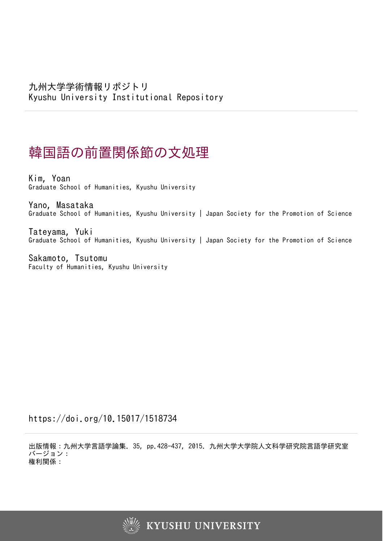# 韓国語の前置関係節の文処理

Kim, Yoan Graduate School of Humanities, Kyushu University

Yano, Masataka Graduate School of Humanities, Kyushu University | Japan Society for the Promotion of Science

Tateyama, Yuki Graduate School of Humanities, Kyushu University | Japan Society for the Promotion of Science

Sakamoto, Tsutomu Faculty of Humanities, Kyushu University

https://doi.org/10.15017/1518734

出版情報:九州大学言語学論集. 35, pp.428-437, 2015. 九州大学大学院人文科学研究院言語学研究室 バージョン: 権利関係:

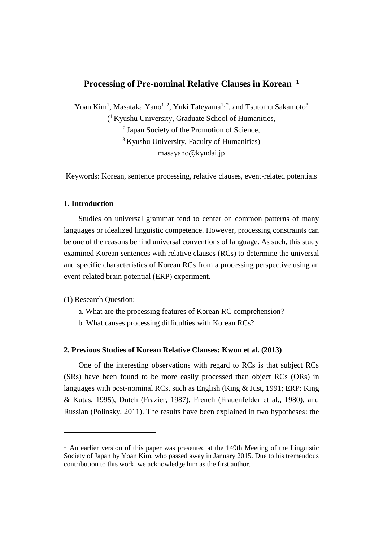## **Processing of Pre-nominal Relative Clauses in Korean <sup>1</sup>**

Yoan Kim<sup>1</sup>, Masataka Yano<sup>1, 2</sup>, Yuki Tateyama<sup>1, 2</sup>, and Tsutomu Sakamoto<sup>3</sup> ( <sup>1</sup>Kyushu University, Graduate School of Humanities, <sup>2</sup> Japan Society of the Promotion of Science, <sup>3</sup> Kyushu University, Faculty of Humanities)

masayano@kyudai.jp

Keywords: Korean, sentence processing, relative clauses, event-related potentials

## **1. Introduction**

Studies on universal grammar tend to center on common patterns of many languages or idealized linguistic competence. However, processing constraints can be one of the reasons behind universal conventions of language. As such, this study examined Korean sentences with relative clauses (RCs) to determine the universal and specific characteristics of Korean RCs from a processing perspective using an event-related brain potential (ERP) experiment.

(1) Research Question:

 $\overline{a}$ 

- a. What are the processing features of Korean RC comprehension?
- b. What causes processing difficulties with Korean RCs?

## **2. Previous Studies of Korean Relative Clauses: Kwon et al. (2013)**

One of the interesting observations with regard to RCs is that subject RCs (SRs) have been found to be more easily processed than object RCs (ORs) in languages with post-nominal RCs, such as English (King & Just, 1991; ERP: King & Kutas, 1995), Dutch (Frazier, 1987), French (Frauenfelder et al., 1980), and Russian (Polinsky, 2011). The results have been explained in two hypotheses: the

<sup>&</sup>lt;sup>1</sup> An earlier version of this paper was presented at the 149th Meeting of the Linguistic Society of Japan by Yoan Kim, who passed away in January 2015. Due to his tremendous contribution to this work, we acknowledge him as the first author.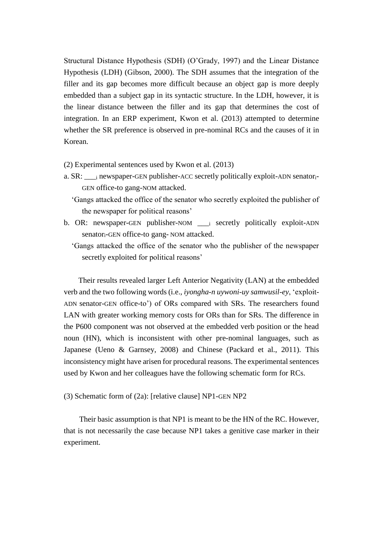Structural Distance Hypothesis (SDH) (O'Grady, 1997) and the Linear Distance Hypothesis (LDH) (Gibson, 2000). The SDH assumes that the integration of the filler and its gap becomes more difficult because an object gap is more deeply embedded than a subject gap in its syntactic structure. In the LDH, however, it is the linear distance between the filler and its gap that determines the cost of integration. In an ERP experiment, Kwon et al. (2013) attempted to determine whether the SR preference is observed in pre-nominal RCs and the causes of it in Korean.

(2) Experimental sentences used by Kwon et al. (2013)

- a. SR:  $\cdot$  i newspaper-GEN publisher-ACC secretly politically exploit-ADN senator-GEN office-to gang-NOM attacked.
	- 'Gangs attacked the office of the senator who secretly exploited the publisher of the newspaper for political reasons'
- b. OR: newspaper-GEN publisher-NOM  $\cdot$  i secretly politically exploit-ADN senatori-GEN office-to gang- NOM attacked.
	- 'Gangs attacked the office of the senator who the publisher of the newspaper secretly exploited for political reasons'

Their results revealed larger Left Anterior Negativity (LAN) at the embedded verb and the two following words (i.e., *iyongha-n uywoni-uy samwusil-ey*, 'exploit-ADN senator-GEN office-to') of ORs compared with SRs. The researchers found LAN with greater working memory costs for ORs than for SRs. The difference in the P600 component was not observed at the embedded verb position or the head noun (HN), which is inconsistent with other pre-nominal languages, such as Japanese (Ueno & Garnsey, 2008) and Chinese (Packard et al., 2011). This inconsistency might have arisen for procedural reasons. The experimental sentences used by Kwon and her colleagues have the following schematic form for RCs.

(3) Schematic form of (2a): [relative clause] NP1-GEN NP2

Their basic assumption is that NP1 is meant to be the HN of the RC. However, that is not necessarily the case because NP1 takes a genitive case marker in their experiment.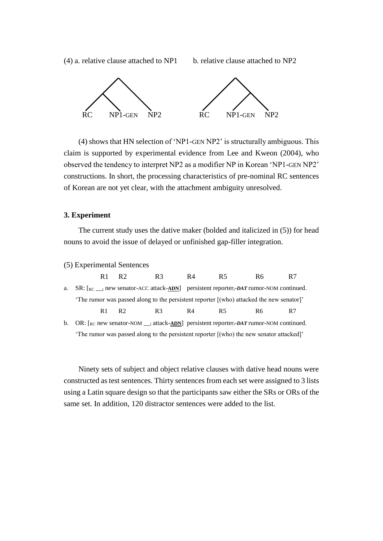(4) a. relative clause attached to  $NP1$  b. relative clause attached to  $NP2$ 



(4) shows that HN selection of 'NP1-GEN NP2' is structurally ambiguous. This claim is supported by experimental evidence from Lee and Kweon (2004), who observed the tendency to interpret NP2 as a modifier NP in Korean 'NP1-GEN NP2' constructions. In short, the processing characteristics of pre-nominal RC sentences of Korean are not yet clear, with the attachment ambiguity unresolved.

## **3. Experiment**

The current study uses the dative maker (bolded and italicized in (5)) for head nouns to avoid the issue of delayed or unfinished gap-filler integration.

| (5) Experimental Sentences |
|----------------------------|
|----------------------------|

|  | R <sub>1</sub> R <sub>2</sub> | R3             | R4 | R5.                                                                                                | R6  | R7 |
|--|-------------------------------|----------------|----|----------------------------------------------------------------------------------------------------|-----|----|
|  |                               |                |    | a. $SR: [{}_{RC} \quad$ i new senator-ACC attack-ADN persistent reporter. DAT rumor-NOM continued. |     |    |
|  |                               |                |    | The rumor was passed along to the persistent reporter [(who) attacked the new senator]'            |     |    |
|  | $R1$ $R2$                     | R <sub>3</sub> | R4 | R5.                                                                                                | R6. | R7 |
|  |                               |                |    |                                                                                                    |     |    |

b. OR:  $[RC \text{RC} \text{new senator-NOM} \_ \text{i} \text{attack-ADN}]$  persistent reporter<sub>i</sub>-DAT rumor-NOM continued. 'The rumor was passed along to the persistent reporter [(who) the new senator attacked]'

Ninety sets of subject and object relative clauses with dative head nouns were constructed as test sentences. Thirty sentences from each set were assigned to 3 lists using a Latin square design so that the participants saw either the SRs or ORs of the same set. In addition, 120 distractor sentences were added to the list.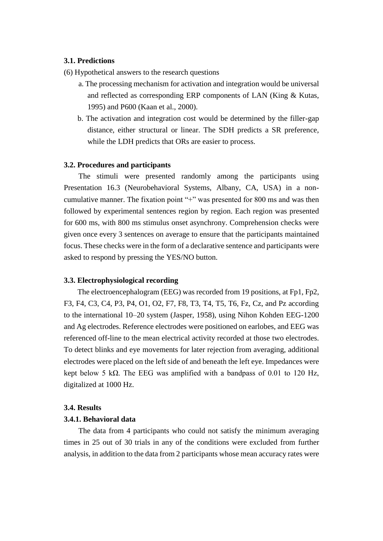## **3.1. Predictions**

(6) Hypothetical answers to the research questions

- a. The processing mechanism for activation and integration would be universal and reflected as corresponding ERP components of LAN (King & Kutas, 1995) and P600 (Kaan et al., 2000).
- b. The activation and integration cost would be determined by the filler-gap distance, either structural or linear. The SDH predicts a SR preference, while the LDH predicts that ORs are easier to process.

## **3.2. Procedures and participants**

The stimuli were presented randomly among the participants using Presentation 16.3 (Neurobehavioral Systems, Albany, CA, USA) in a noncumulative manner. The fixation point "+" was presented for 800 ms and was then followed by experimental sentences region by region. Each region was presented for 600 ms, with 800 ms stimulus onset asynchrony. Comprehension checks were given once every 3 sentences on average to ensure that the participants maintained focus. These checks were in the form of a declarative sentence and participants were asked to respond by pressing the YES/NO button.

### **3.3. Electrophysiological recording**

The electroencephalogram (EEG) was recorded from 19 positions, at Fp1, Fp2, F3, F4, C3, C4, P3, P4, O1, O2, F7, F8, T3, T4, T5, T6, Fz, Cz, and Pz according to the international 10–20 system (Jasper, 1958), using Nihon Kohden EEG-1200 and Ag electrodes. Reference electrodes were positioned on earlobes, and EEG was referenced off-line to the mean electrical activity recorded at those two electrodes. To detect blinks and eye movements for later rejection from averaging, additional electrodes were placed on the left side of and beneath the left eye. Impedances were kept below 5 kΩ. The EEG was amplified with a bandpass of 0.01 to 120 Hz, digitalized at 1000 Hz.

## **3.4. Results**

## **3.4.1. Behavioral data**

The data from 4 participants who could not satisfy the minimum averaging times in 25 out of 30 trials in any of the conditions were excluded from further analysis, in addition to the data from 2 participants whose mean accuracy rates were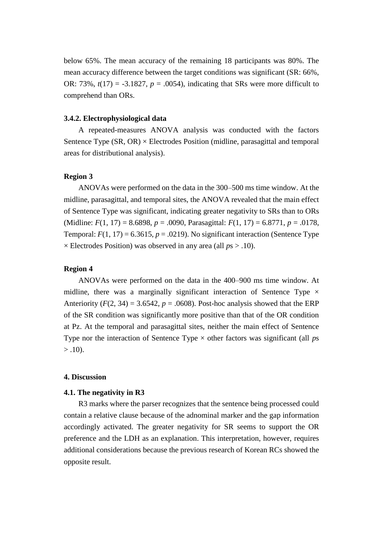below 65%. The mean accuracy of the remaining 18 participants was 80%. The mean accuracy difference between the target conditions was significant (SR: 66%, OR: 73%,  $t(17) = -3.1827$ ,  $p = .0054$ ), indicating that SRs were more difficult to comprehend than ORs.

#### **3.4.2. Electrophysiological data**

A repeated-measures ANOVA analysis was conducted with the factors Sentence Type  $(SR, OR) \times$  Electrodes Position (midline, parasagittal and temporal areas for distributional analysis).

## **Region 3**

ANOVAs were performed on the data in the 300–500 ms time window. At the midline, parasagittal, and temporal sites, the ANOVA revealed that the main effect of Sentence Type was significant, indicating greater negativity to SRs than to ORs (Midline: *F*(1, 17) = 8.6898, *p* = .0090, Parasagittal: *F*(1, 17) = 6.8771, *p* = .0178, Temporal:  $F(1, 17) = 6.3615$ ,  $p = .0219$ ). No significant interaction (Sentence Type × Electrodes Position) was observed in any area (all *p*s > .10).

## **Region 4**

ANOVAs were performed on the data in the 400–900 ms time window. At midline, there was a marginally significant interaction of Sentence Type  $\times$ Anteriority  $(F(2, 34) = 3.6542, p = .0608)$ . Post-hoc analysis showed that the ERP of the SR condition was significantly more positive than that of the OR condition at Pz. At the temporal and parasagittal sites, neither the main effect of Sentence Type nor the interaction of Sentence Type  $\times$  other factors was significant (all *ps*)  $> .10$ ).

## **4. Discussion**

#### **4.1. The negativity in R3**

R3 marks where the parser recognizes that the sentence being processed could contain a relative clause because of the adnominal marker and the gap information accordingly activated. The greater negativity for SR seems to support the OR preference and the LDH as an explanation. This interpretation, however, requires additional considerations because the previous research of Korean RCs showed the opposite result.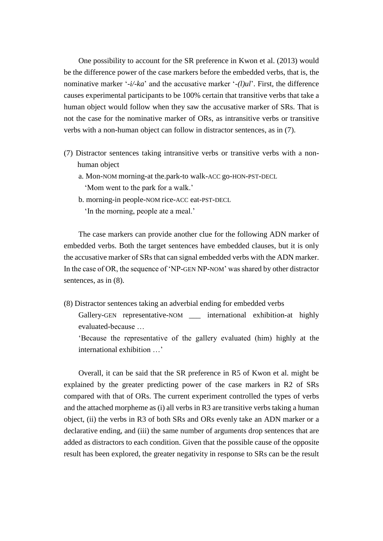One possibility to account for the SR preference in Kwon et al. (2013) would be the difference power of the case markers before the embedded verbs, that is, the nominative marker '*-i/-ka*' and the accusative marker '*-(l)ul*'. First, the difference causes experimental participants to be 100% certain that transitive verbs that take a human object would follow when they saw the accusative marker of SRs. That is not the case for the nominative marker of ORs, as intransitive verbs or transitive verbs with a non-human object can follow in distractor sentences, as in (7).

- (7) Distractor sentences taking intransitive verbs or transitive verbs with a nonhuman object
	- a. Mon-NOM morning-at the.park-to walk-ACC go-HON-PST-DECL 'Mom went to the park for a walk.'
	- b. morning-in people-NOM rice-ACC eat-PST-DECL 'In the morning, people ate a meal.'

The case markers can provide another clue for the following ADN marker of embedded verbs. Both the target sentences have embedded clauses, but it is only the accusative marker of SRs that can signal embedded verbs with the ADN marker. In the case of OR, the sequence of 'NP-GEN NP-NOM' was shared by other distractor sentences, as in (8).

(8) Distractor sentences taking an adverbial ending for embedded verbs

Gallery-GEN representative-NOM international exhibition-at highly evaluated-because …

'Because the representative of the gallery evaluated (him) highly at the international exhibition …'

Overall, it can be said that the SR preference in R5 of Kwon et al. might be explained by the greater predicting power of the case markers in R2 of SRs compared with that of ORs. The current experiment controlled the types of verbs and the attached morpheme as (i) all verbs in R3 are transitive verbs taking a human object, (ii) the verbs in R3 of both SRs and ORs evenly take an ADN marker or a declarative ending, and (iii) the same number of arguments drop sentences that are added as distractors to each condition. Given that the possible cause of the opposite result has been explored, the greater negativity in response to SRs can be the result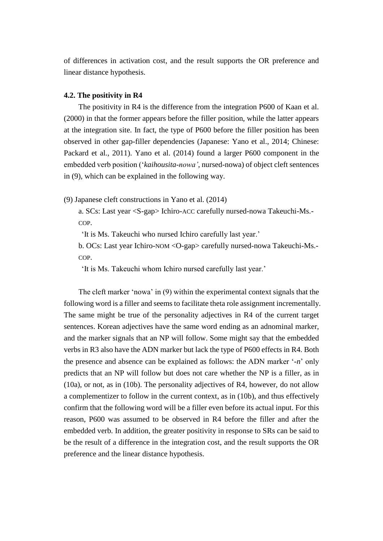of differences in activation cost, and the result supports the OR preference and linear distance hypothesis.

## **4.2. The positivity in R4**

The positivity in R4 is the difference from the integration P600 of Kaan et al. (2000) in that the former appears before the filler position, while the latter appears at the integration site. In fact, the type of P600 before the filler position has been observed in other gap-filler dependencies (Japanese: Yano et al., 2014; Chinese: Packard et al., 2011). Yano et al. (2014) found a larger P600 component in the embedded verb position ('*kaihousita-nowa'*, nursed-nowa) of object cleft sentences in (9), which can be explained in the following way.

(9) Japanese cleft constructions in Yano et al. (2014)

a. SCs: Last year <S-gap> Ichiro-ACC carefully nursed-nowa Takeuchi-Ms.- COP.

'It is Ms. Takeuchi who nursed Ichiro carefully last year.'

b. OCs: Last year Ichiro-NOM <O-gap> carefully nursed-nowa Takeuchi-Ms.- COP.

'It is Ms. Takeuchi whom Ichiro nursed carefully last year.'

The cleft marker 'nowa' in (9) within the experimental context signals that the following word is a filler and seems to facilitate theta role assignment incrementally. The same might be true of the personality adjectives in R4 of the current target sentences. Korean adjectives have the same word ending as an adnominal marker, and the marker signals that an NP will follow. Some might say that the embedded verbs in R3 also have the ADN marker but lack the type of P600 effects in R4. Both the presence and absence can be explained as follows: the ADN marker '*-n*' only predicts that an NP will follow but does not care whether the NP is a filler, as in (10a), or not, as in (10b). The personality adjectives of R4, however, do not allow a complementizer to follow in the current context, as in (10b), and thus effectively confirm that the following word will be a filler even before its actual input. For this reason, P600 was assumed to be observed in R4 before the filler and after the embedded verb. In addition, the greater positivity in response to SRs can be said to be the result of a difference in the integration cost, and the result supports the OR preference and the linear distance hypothesis.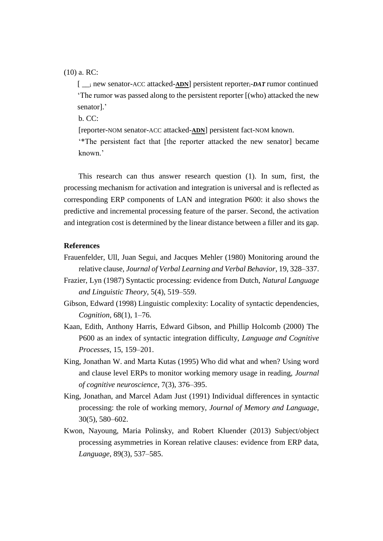(10) a. RC:

[ \_\_<sup>i</sup> new senator-ACC attacked-**ADN**] persistent reporteri-*DAT* rumor continued 'The rumor was passed along to the persistent reporter [(who) attacked the new senator].'

b. CC:

[reporter-NOM senator-ACC attacked-**ADN**] persistent fact-NOM known.

'\*The persistent fact that [the reporter attacked the new senator] became known.'

This research can thus answer research question (1). In sum, first, the processing mechanism for activation and integration is universal and is reflected as corresponding ERP components of LAN and integration P600: it also shows the predictive and incremental processing feature of the parser. Second, the activation and integration cost is determined by the linear distance between a filler and its gap.

## **References**

- Frauenfelder, Ull, Juan Segui, and Jacques Mehler (1980) Monitoring around the relative clause, *Journal of Verbal Learning and Verbal Behavior*, 19, 328–337.
- Frazier, Lyn (1987) Syntactic processing: evidence from Dutch, *Natural Language and Linguistic Theory*, 5(4), 519–559.
- Gibson, Edward (1998) Linguistic complexity: Locality of syntactic dependencies, *Cognition*, 68(1), 1–76.
- Kaan, Edith, Anthony Harris, Edward Gibson, and Phillip Holcomb (2000) The P600 as an index of syntactic integration difficulty, *Language and Cognitive Processes*, 15, 159–201.
- King, Jonathan W. and Marta Kutas (1995) Who did what and when? Using word and clause level ERPs to monitor working memory usage in reading, *Journal of cognitive neuroscience*, 7(3), 376–395.
- King, Jonathan, and Marcel Adam Just (1991) Individual differences in syntactic processing: the role of working memory, *Journal of Memory and Language*, 30(5), 580–602.
- Kwon, Nayoung, Maria Polinsky, and Robert Kluender (2013) Subject/object processing asymmetries in Korean relative clauses: evidence from ERP data, *Language*, 89(3), 537–585.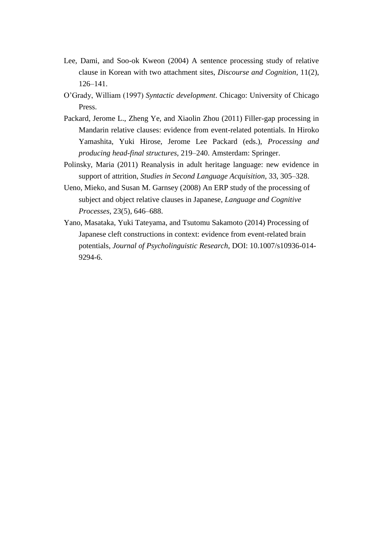- Lee, Dami, and Soo-ok Kweon (2004) A sentence processing study of relative clause in Korean with two attachment sites, *Discourse and Cognition*, 11(2), 126–141.
- O'Grady, William (1997) *Syntactic development*. Chicago: University of Chicago Press.
- Packard, Jerome L., Zheng Ye, and Xiaolin Zhou (2011) Filler-gap processing in Mandarin relative clauses: evidence from event-related potentials. In Hiroko Yamashita, Yuki Hirose, Jerome Lee Packard (eds.), *Processing and producing head-final structures*, 219–240. Amsterdam: Springer.
- Polinsky, Maria (2011) Reanalysis in adult heritage language: new evidence in support of attrition, *Studies in Second Language Acquisition*, 33, 305–328.
- Ueno, Mieko, and Susan M. Garnsey (2008) An ERP study of the processing of subject and object relative clauses in Japanese, *Language and Cognitive Processes*, 23(5), 646–688.
- Yano, Masataka, Yuki Tateyama, and Tsutomu Sakamoto (2014) Processing of Japanese cleft constructions in context: evidence from event-related brain potentials, *Journal of Psycholinguistic Research*, DOI: 10.1007/s10936-014- 9294-6.